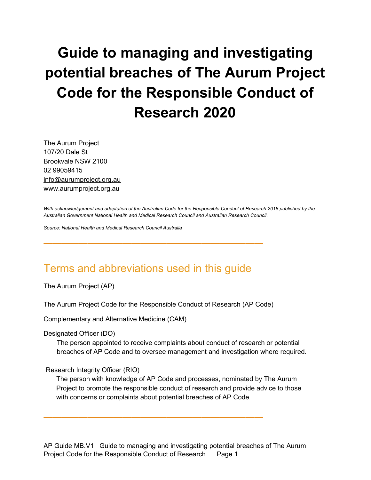# **Guide to managing and investigating potential breaches of The Aurum Project Code for the Responsible Conduct of Research 2020**

The Aurum Project 107/20 Dale St Brookvale NSW 2100 02 99059415 info@aurumproject.org.au www.aurumproject.org.au

With acknowledgement and adaptation of the Australian Code for the Responsible Conduct of Research 2018 published by the *Australian Government National Health and Medical Research Council and Australian Research Council.*

*Source: National Health and Medical Research Council Australia*

### Terms and abbreviations used in this guide

**—————————————————————————**

The Aurum Project (AP)

The Aurum Project Code for the Responsible Conduct of Research (AP Code)

**—————————————————————————**

Complementary and Alternative Medicine (CAM)

Designated Officer (DO)

The person appointed to receive complaints about conduct of research or potential breaches of AP Code and to oversee management and investigation where required.

Research Integrity Officer (RIO)

The person with knowledge of AP Code and processes, nominated by The Aurum Project to promote the responsible conduct of research and provide advice to those with concerns or complaints about potential breaches of AP Code.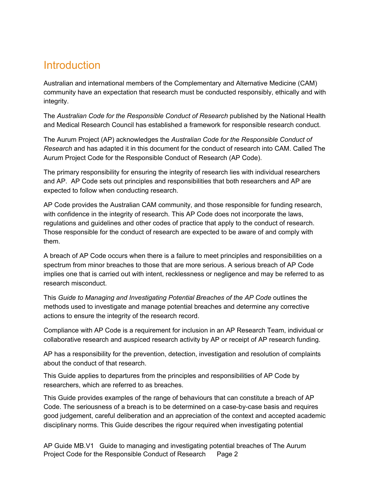### **Introduction**

Australian and international members of the Complementary and Alternative Medicine (CAM) community have an expectation that research must be conducted responsibly, ethically and with integrity.

The *Australian Code for the Responsible Conduct of Research* published by the National Health and Medical Research Council has established a framework for responsible research conduct.

The Aurum Project (AP) acknowledges the *Australian Code for the Responsible Conduct of Research* and has adapted it in this document for the conduct of research into CAM. Called The Aurum Project Code for the Responsible Conduct of Research (AP Code).

The primary responsibility for ensuring the integrity of research lies with individual researchers and AP. AP Code sets out principles and responsibilities that both researchers and AP are expected to follow when conducting research.

AP Code provides the Australian CAM community, and those responsible for funding research, with confidence in the integrity of research. This AP Code does not incorporate the laws, regulations and guidelines and other codes of practice that apply to the conduct of research. Those responsible for the conduct of research are expected to be aware of and comply with them.

A breach of AP Code occurs when there is a failure to meet principles and responsibilities on a spectrum from minor breaches to those that are more serious. A serious breach of AP Code implies one that is carried out with intent, recklessness or negligence and may be referred to as research misconduct.

This *Guide to Managing and Investigating Potential Breaches of the AP Code* outlines the methods used to investigate and manage potential breaches and determine any corrective actions to ensure the integrity of the research record.

Compliance with AP Code is a requirement for inclusion in an AP Research Team, individual or collaborative research and auspiced research activity by AP or receipt of AP research funding.

AP has a responsibility for the prevention, detection, investigation and resolution of complaints about the conduct of that research.

This Guide applies to departures from the principles and responsibilities of AP Code by researchers, which are referred to as breaches.

This Guide provides examples of the range of behaviours that can constitute a breach of AP Code. The seriousness of a breach is to be determined on a case-by-case basis and requires good judgement, careful deliberation and an appreciation of the context and accepted academic disciplinary norms. This Guide describes the rigour required when investigating potential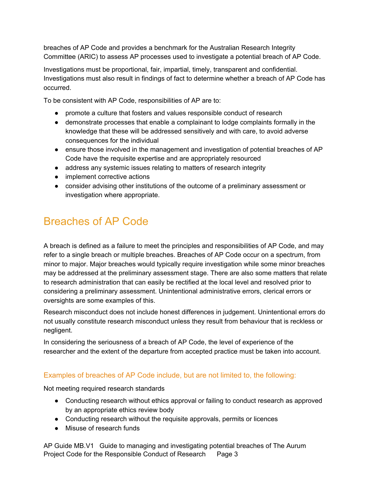breaches of AP Code and provides a benchmark for the Australian Research Integrity Committee (ARIC) to assess AP processes used to investigate a potential breach of AP Code.

Investigations must be proportional, fair, impartial, timely, transparent and confidential. Investigations must also result in findings of fact to determine whether a breach of AP Code has occurred.

To be consistent with AP Code, responsibilities of AP are to:

- promote a culture that fosters and values responsible conduct of research
- demonstrate processes that enable a complainant to lodge complaints formally in the knowledge that these will be addressed sensitively and with care, to avoid adverse consequences for the individual
- ensure those involved in the management and investigation of potential breaches of AP Code have the requisite expertise and are appropriately resourced
- address any systemic issues relating to matters of research integrity
- implement corrective actions
- consider advising other institutions of the outcome of a preliminary assessment or investigation where appropriate.

# Breaches of AP Code

A breach is defined as a failure to meet the principles and responsibilities of AP Code, and may refer to a single breach or multiple breaches. Breaches of AP Code occur on a spectrum, from minor to major. Major breaches would typically require investigation while some minor breaches may be addressed at the preliminary assessment stage. There are also some matters that relate to research administration that can easily be rectified at the local level and resolved prior to considering a preliminary assessment. Unintentional administrative errors, clerical errors or oversights are some examples of this.

Research misconduct does not include honest differences in judgement. Unintentional errors do not usually constitute research misconduct unless they result from behaviour that is reckless or negligent.

In considering the seriousness of a breach of AP Code, the level of experience of the researcher and the extent of the departure from accepted practice must be taken into account.

#### Examples of breaches of AP Code include, but are not limited to, the following:

Not meeting required research standards

- Conducting research without ethics approval or failing to conduct research as approved by an appropriate ethics review body
- Conducting research without the requisite approvals, permits or licences
- Misuse of research funds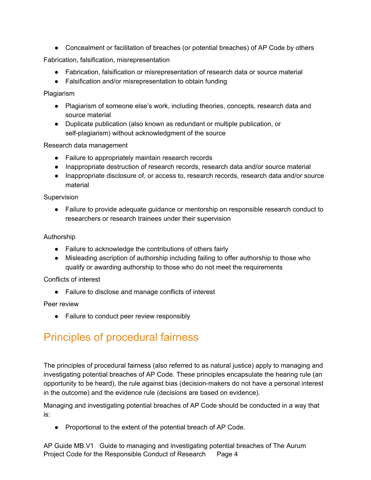• Concealment or facilitation of breaches (or potential breaches) of AP Code by others

Fabrication, falsification, misrepresentation

- Fabrication, falsification or misrepresentation of research data or source material
- Falsification and/or misrepresentation to obtain funding

Plagiarism

- Plagiarism of someone else's work, including theories, concepts, research data and source material
- Duplicate publication (also known as redundant or multiple publication, or self-plagiarism) without acknowledgment of the source

Research data management

- Failure to appropriately maintain research records
- Inappropriate destruction of research records, research data and/or source material
- Inappropriate disclosure of, or access to, research records, research data and/or source material

Supervision

● Failure to provide adequate guidance or mentorship on responsible research conduct to researchers or research trainees under their supervision

Authorship

- Failure to acknowledge the contributions of others fairly
- Misleading ascription of authorship including failing to offer authorship to those who qualify or awarding authorship to those who do not meet the requirements

#### Conflicts of interest

● Failure to disclose and manage conflicts of interest

Peer review

● Failure to conduct peer review responsibly

### Principles of procedural fairness

The principles of procedural fairness (also referred to as natural justice) apply to managing and investigating potential breaches of AP Code. These principles encapsulate the hearing rule (an opportunity to be heard), the rule against bias (decision-makers do not have a personal interest in the outcome) and the evidence rule (decisions are based on evidence).

Managing and investigating potential breaches of AP Code should be conducted in a way that is:

● Proportional to the extent of the potential breach of AP Code.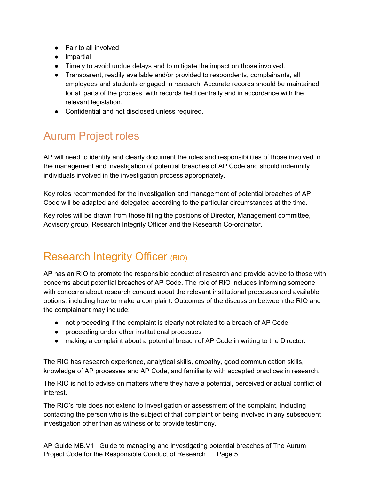- Fair to all involved
- Impartial
- Timely to avoid undue delays and to mitigate the impact on those involved.
- Transparent, readily available and/or provided to respondents, complainants, all employees and students engaged in research. Accurate records should be maintained for all parts of the process, with records held centrally and in accordance with the relevant legislation.
- Confidential and not disclosed unless required.

# Aurum Project roles

AP will need to identify and clearly document the roles and responsibilities of those involved in the management and investigation of potential breaches of AP Code and should indemnify individuals involved in the investigation process appropriately.

Key roles recommended for the investigation and management of potential breaches of AP Code will be adapted and delegated according to the particular circumstances at the time.

Key roles will be drawn from those filling the positions of Director, Management committee, Advisory group, Research Integrity Officer and the Research Co-ordinator.

# Research Integrity Officer (RIO)

AP has an RIO to promote the responsible conduct of research and provide advice to those with concerns about potential breaches of AP Code. The role of RIO includes informing someone with concerns about research conduct about the relevant institutional processes and available options, including how to make a complaint. Outcomes of the discussion between the RIO and the complainant may include:

- not proceeding if the complaint is clearly not related to a breach of AP Code
- proceeding under other institutional processes
- making a complaint about a potential breach of AP Code in writing to the Director.

The RIO has research experience, analytical skills, empathy, good communication skills, knowledge of AP processes and AP Code, and familiarity with accepted practices in research.

The RIO is not to advise on matters where they have a potential, perceived or actual conflict of interest.

The RIO's role does not extend to investigation or assessment of the complaint, including contacting the person who is the subject of that complaint or being involved in any subsequent investigation other than as witness or to provide testimony.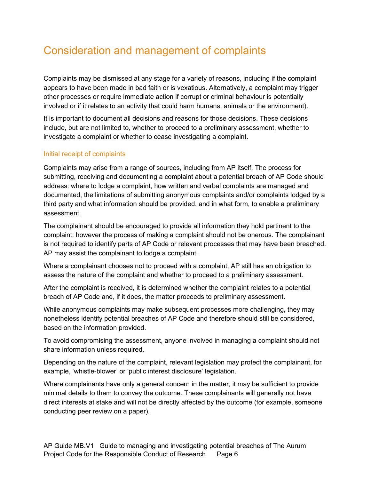# Consideration and management of complaints

Complaints may be dismissed at any stage for a variety of reasons, including if the complaint appears to have been made in bad faith or is vexatious. Alternatively, a complaint may trigger other processes or require immediate action if corrupt or criminal behaviour is potentially involved or if it relates to an activity that could harm humans, animals or the environment).

It is important to document all decisions and reasons for those decisions. These decisions include, but are not limited to, whether to proceed to a preliminary assessment, whether to investigate a complaint or whether to cease investigating a complaint.

#### Initial receipt of complaints

Complaints may arise from a range of sources, including from AP itself. The process for submitting, receiving and documenting a complaint about a potential breach of AP Code should address: where to lodge a complaint, how written and verbal complaints are managed and documented, the limitations of submitting anonymous complaints and/or complaints lodged by a third party and what information should be provided, and in what form, to enable a preliminary assessment.

The complainant should be encouraged to provide all information they hold pertinent to the complaint; however the process of making a complaint should not be onerous. The complainant is not required to identify parts of AP Code or relevant processes that may have been breached. AP may assist the complainant to lodge a complaint.

Where a complainant chooses not to proceed with a complaint, AP still has an obligation to assess the nature of the complaint and whether to proceed to a preliminary assessment.

After the complaint is received, it is determined whether the complaint relates to a potential breach of AP Code and, if it does, the matter proceeds to preliminary assessment.

While anonymous complaints may make subsequent processes more challenging, they may nonetheless identify potential breaches of AP Code and therefore should still be considered, based on the information provided.

To avoid compromising the assessment, anyone involved in managing a complaint should not share information unless required.

Depending on the nature of the complaint, relevant legislation may protect the complainant, for example, 'whistle-blower' or 'public interest disclosure' legislation.

Where complainants have only a general concern in the matter, it may be sufficient to provide minimal details to them to convey the outcome. These complainants will generally not have direct interests at stake and will not be directly affected by the outcome (for example, someone conducting peer review on a paper).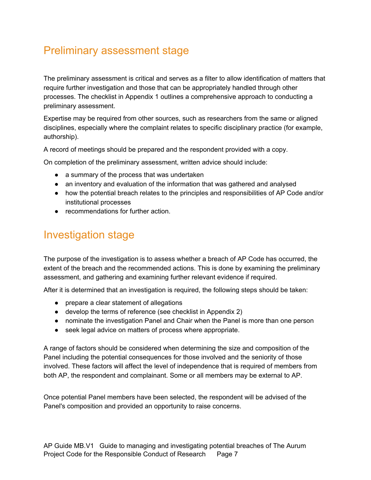# Preliminary assessment stage

The preliminary assessment is critical and serves as a filter to allow identification of matters that require further investigation and those that can be appropriately handled through other processes. The checklist in Appendix 1 outlines a comprehensive approach to conducting a preliminary assessment.

Expertise may be required from other sources, such as researchers from the same or aligned disciplines, especially where the complaint relates to specific disciplinary practice (for example, authorship).

A record of meetings should be prepared and the respondent provided with a copy.

On completion of the preliminary assessment, written advice should include:

- a summary of the process that was undertaken
- an inventory and evaluation of the information that was gathered and analysed
- how the potential breach relates to the principles and responsibilities of AP Code and/or institutional processes
- recommendations for further action.

### Investigation stage

The purpose of the investigation is to assess whether a breach of AP Code has occurred, the extent of the breach and the recommended actions. This is done by examining the preliminary assessment, and gathering and examining further relevant evidence if required.

After it is determined that an investigation is required, the following steps should be taken:

- prepare a clear statement of allegations
- develop the terms of reference (see checklist in Appendix 2)
- nominate the investigation Panel and Chair when the Panel is more than one person
- seek legal advice on matters of process where appropriate.

A range of factors should be considered when determining the size and composition of the Panel including the potential consequences for those involved and the seniority of those involved. These factors will affect the level of independence that is required of members from both AP, the respondent and complainant. Some or all members may be external to AP.

Once potential Panel members have been selected, the respondent will be advised of the Panel's composition and provided an opportunity to raise concerns.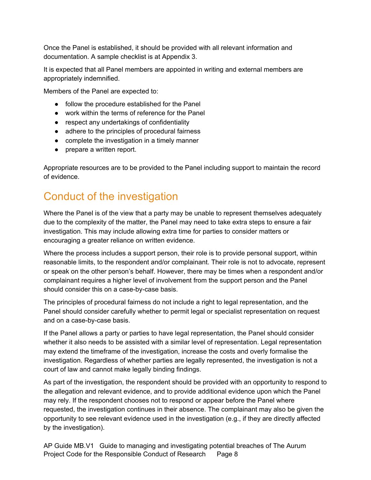Once the Panel is established, it should be provided with all relevant information and documentation. A sample checklist is at Appendix 3.

It is expected that all Panel members are appointed in writing and external members are appropriately indemnified.

Members of the Panel are expected to:

- follow the procedure established for the Panel
- work within the terms of reference for the Panel
- respect any undertakings of confidentiality
- adhere to the principles of procedural fairness
- complete the investigation in a timely manner
- prepare a written report.

Appropriate resources are to be provided to the Panel including support to maintain the record of evidence.

# Conduct of the investigation

Where the Panel is of the view that a party may be unable to represent themselves adequately due to the complexity of the matter, the Panel may need to take extra steps to ensure a fair investigation. This may include allowing extra time for parties to consider matters or encouraging a greater reliance on written evidence.

Where the process includes a support person, their role is to provide personal support, within reasonable limits, to the respondent and/or complainant. Their role is not to advocate, represent or speak on the other person's behalf. However, there may be times when a respondent and/or complainant requires a higher level of involvement from the support person and the Panel should consider this on a case-by-case basis.

The principles of procedural fairness do not include a right to legal representation, and the Panel should consider carefully whether to permit legal or specialist representation on request and on a case-by-case basis.

If the Panel allows a party or parties to have legal representation, the Panel should consider whether it also needs to be assisted with a similar level of representation. Legal representation may extend the timeframe of the investigation, increase the costs and overly formalise the investigation. Regardless of whether parties are legally represented, the investigation is not a court of law and cannot make legally binding findings.

As part of the investigation, the respondent should be provided with an opportunity to respond to the allegation and relevant evidence, and to provide additional evidence upon which the Panel may rely. If the respondent chooses not to respond or appear before the Panel where requested, the investigation continues in their absence. The complainant may also be given the opportunity to see relevant evidence used in the investigation (e.g., if they are directly affected by the investigation).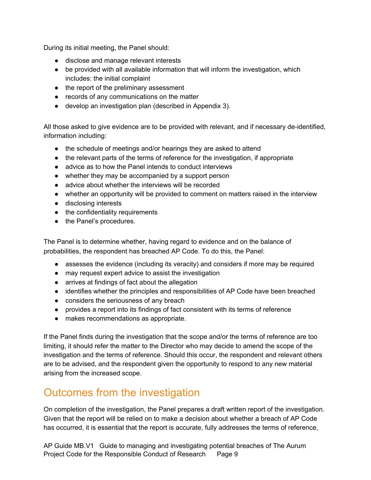During its initial meeting, the Panel should:

- disclose and manage relevant interests
- be provided with all available information that will inform the investigation, which includes: the initial complaint
- the report of the preliminary assessment
- records of any communications on the matter
- develop an investigation plan (described in Appendix 3).

All those asked to give evidence are to be provided with relevant, and if necessary de-identified, information including:

- the schedule of meetings and/or hearings they are asked to attend
- the relevant parts of the terms of reference for the investigation, if appropriate
- advice as to how the Panel intends to conduct interviews
- whether they may be accompanied by a support person
- advice about whether the interviews will be recorded
- whether an opportunity will be provided to comment on matters raised in the interview
- disclosing interests
- the confidentiality requirements
- the Panel's procedures.

The Panel is to determine whether, having regard to evidence and on the balance of probabilities, the respondent has breached AP Code. To do this, the Panel:

- assesses the evidence (including its veracity) and considers if more may be required
- may request expert advice to assist the investigation
- arrives at findings of fact about the allegation
- identifies whether the principles and responsibilities of AP Code have been breached
- considers the seriousness of any breach
- provides a report into its findings of fact consistent with its terms of reference
- makes recommendations as appropriate.

If the Panel finds during the investigation that the scope and/or the terms of reference are too limiting, it should refer the matter to the Director who may decide to amend the scope of the investigation and the terms of reference. Should this occur, the respondent and relevant others are to be advised, and the respondent given the opportunity to respond to any new material arising from the increased scope.

### Outcomes from the investigation

On completion of the investigation, the Panel prepares a draft written report of the investigation. Given that the report will be relied on to make a decision about whether a breach of AP Code has occurred, it is essential that the report is accurate, fully addresses the terms of reference,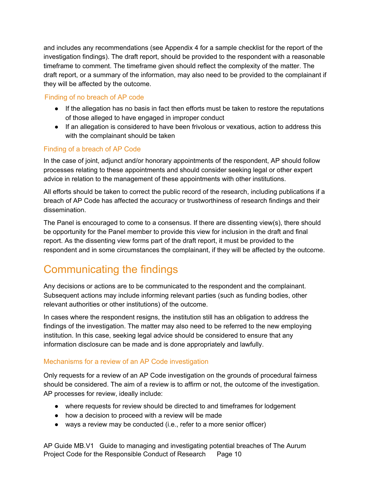and includes any recommendations (see Appendix 4 for a sample checklist for the report of the investigation findings). The draft report, should be provided to the respondent with a reasonable timeframe to comment. The timeframe given should reflect the complexity of the matter. The draft report, or a summary of the information, may also need to be provided to the complainant if they will be affected by the outcome.

#### Finding of no breach of AP code

- If the allegation has no basis in fact then efforts must be taken to restore the reputations of those alleged to have engaged in improper conduct
- If an allegation is considered to have been frivolous or vexatious, action to address this with the complainant should be taken

#### Finding of a breach of AP Code

In the case of joint, adjunct and/or honorary appointments of the respondent, AP should follow processes relating to these appointments and should consider seeking legal or other expert advice in relation to the management of these appointments with other institutions.

All efforts should be taken to correct the public record of the research, including publications if a breach of AP Code has affected the accuracy or trustworthiness of research findings and their dissemination.

The Panel is encouraged to come to a consensus. If there are dissenting view(s), there should be opportunity for the Panel member to provide this view for inclusion in the draft and final report. As the dissenting view forms part of the draft report, it must be provided to the respondent and in some circumstances the complainant, if they will be affected by the outcome.

# Communicating the findings

Any decisions or actions are to be communicated to the respondent and the complainant. Subsequent actions may include informing relevant parties (such as funding bodies, other relevant authorities or other institutions) of the outcome.

In cases where the respondent resigns, the institution still has an obligation to address the findings of the investigation. The matter may also need to be referred to the new employing institution. In this case, seeking legal advice should be considered to ensure that any information disclosure can be made and is done appropriately and lawfully.

#### Mechanisms for a review of an AP Code investigation

Only requests for a review of an AP Code investigation on the grounds of procedural fairness should be considered. The aim of a review is to affirm or not, the outcome of the investigation. AP processes for review, ideally include:

- where requests for review should be directed to and timeframes for lodgement
- how a decision to proceed with a review will be made
- ways a review may be conducted (i.e., refer to a more senior officer)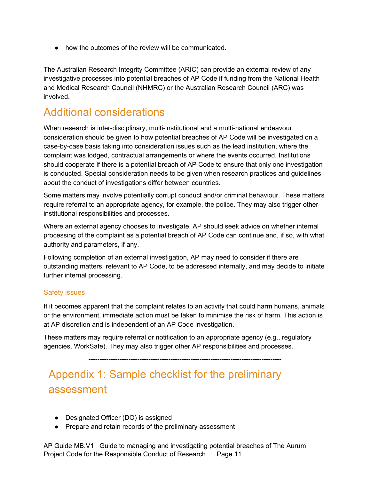● how the outcomes of the review will be communicated.

The Australian Research Integrity Committee (ARIC) can provide an external review of any investigative processes into potential breaches of AP Code if funding from the National Health and Medical Research Council (NHMRC) or the Australian Research Council (ARC) was involved.

### Additional considerations

When research is inter-disciplinary, multi-institutional and a multi-national endeavour, consideration should be given to how potential breaches of AP Code will be investigated on a case-by-case basis taking into consideration issues such as the lead institution, where the complaint was lodged, contractual arrangements or where the events occurred. Institutions should cooperate if there is a potential breach of AP Code to ensure that only one investigation is conducted. Special consideration needs to be given when research practices and guidelines about the conduct of investigations differ between countries.

Some matters may involve potentially corrupt conduct and/or criminal behaviour. These matters require referral to an appropriate agency, for example, the police. They may also trigger other institutional responsibilities and processes.

Where an external agency chooses to investigate, AP should seek advice on whether internal processing of the complaint as a potential breach of AP Code can continue and, if so, with what authority and parameters, if any.

Following completion of an external investigation, AP may need to consider if there are outstanding matters, relevant to AP Code, to be addressed internally, and may decide to initiate further internal processing.

#### Safety issues

If it becomes apparent that the complaint relates to an activity that could harm humans, animals or the environment, immediate action must be taken to minimise the risk of harm. This action is at AP discretion and is independent of an AP Code investigation.

These matters may require referral or notification to an appropriate agency (e.g., regulatory agencies, WorkSafe). They may also trigger other AP responsibilities and processes.

---------------------------------------------------------------------------------------

# Appendix 1: Sample checklist for the preliminary assessment

- Designated Officer (DO) is assigned
- Prepare and retain records of the preliminary assessment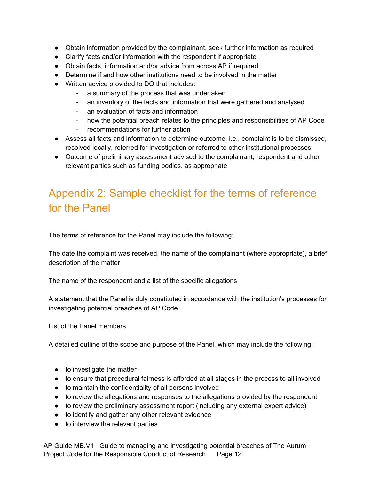- Obtain information provided by the complainant, seek further information as required
- Clarify facts and/or information with the respondent if appropriate
- Obtain facts, information and/or advice from across AP if required
- Determine if and how other institutions need to be involved in the matter
- Written advice provided to DO that includes:
	- a summary of the process that was undertaken
	- an inventory of the facts and information that were gathered and analysed
	- an evaluation of facts and information
	- how the potential breach relates to the principles and responsibilities of AP Code
	- recommendations for further action
- Assess all facts and information to determine outcome, i.e., complaint is to be dismissed, resolved locally, referred for investigation or referred to other institutional processes
- Outcome of preliminary assessment advised to the complainant, respondent and other relevant parties such as funding bodies, as appropriate

# Appendix 2: Sample checklist for the terms of reference for the Panel

The terms of reference for the Panel may include the following:

The date the complaint was received, the name of the complainant (where appropriate), a brief description of the matter

The name of the respondent and a list of the specific allegations

A statement that the Panel is duly constituted in accordance with the institution's processes for investigating potential breaches of AP Code

List of the Panel members

A detailed outline of the scope and purpose of the Panel, which may include the following:

- to investigate the matter
- to ensure that procedural fairness is afforded at all stages in the process to all involved
- to maintain the confidentiality of all persons involved
- to review the allegations and responses to the allegations provided by the respondent
- to review the preliminary assessment report (including any external expert advice)
- to identify and gather any other relevant evidence
- to interview the relevant parties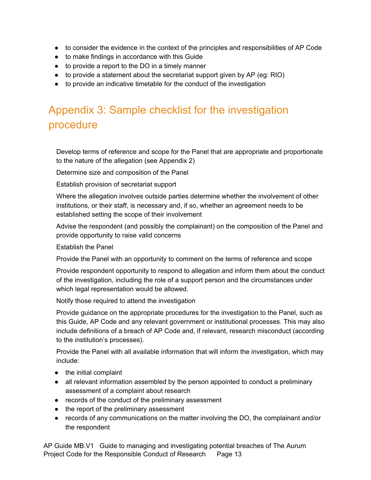- to consider the evidence in the context of the principles and responsibilities of AP Code
- to make findings in accordance with this Guide
- to provide a report to the DO in a timely manner
- $\bullet$  to provide a statement about the secretariat support given by AP (eg: RIO)
- to provide an indicative timetable for the conduct of the investigation

# Appendix 3: Sample checklist for the investigation procedure

Develop terms of reference and scope for the Panel that are appropriate and proportionate to the nature of the allegation (see Appendix 2)

Determine size and composition of the Panel

Establish provision of secretariat support

Where the allegation involves outside parties determine whether the involvement of other institutions, or their staff, is necessary and, if so, whether an agreement needs to be established setting the scope of their involvement

Advise the respondent (and possibly the complainant) on the composition of the Panel and provide opportunity to raise valid concerns

Establish the Panel

Provide the Panel with an opportunity to comment on the terms of reference and scope

Provide respondent opportunity to respond to allegation and inform them about the conduct of the investigation, including the role of a support person and the circumstances under which legal representation would be allowed.

Notify those required to attend the investigation

Provide guidance on the appropriate procedures for the investigation to the Panel, such as this Guide, AP Code and any relevant government or institutional processes. This may also include definitions of a breach of AP Code and, if relevant, research misconduct (according to the institution's processes).

Provide the Panel with all available information that will inform the investigation, which may include:

- the initial complaint
- all relevant information assembled by the person appointed to conduct a preliminary assessment of a complaint about research
- records of the conduct of the preliminary assessment
- the report of the preliminary assessment
- records of any communications on the matter involving the DO, the complainant and/or the respondent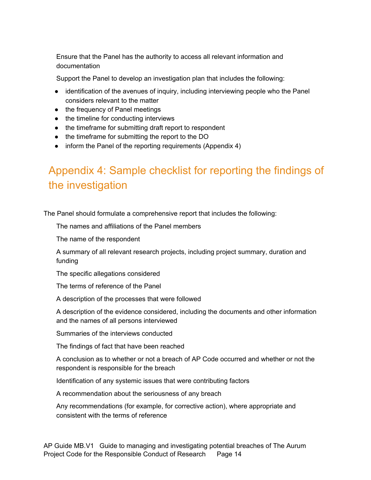Ensure that the Panel has the authority to access all relevant information and documentation

Support the Panel to develop an investigation plan that includes the following:

- identification of the avenues of inquiry, including interviewing people who the Panel considers relevant to the matter
- the frequency of Panel meetings
- the timeline for conducting interviews
- the timeframe for submitting draft report to respondent
- the timeframe for submitting the report to the DO
- inform the Panel of the reporting requirements (Appendix 4)

# Appendix 4: Sample checklist for reporting the findings of the investigation

The Panel should formulate a comprehensive report that includes the following:

The names and affiliations of the Panel members

The name of the respondent

A summary of all relevant research projects, including project summary, duration and funding

The specific allegations considered

The terms of reference of the Panel

A description of the processes that were followed

A description of the evidence considered, including the documents and other information and the names of all persons interviewed

Summaries of the interviews conducted

The findings of fact that have been reached

A conclusion as to whether or not a breach of AP Code occurred and whether or not the respondent is responsible for the breach

Identification of any systemic issues that were contributing factors

A recommendation about the seriousness of any breach

Any recommendations (for example, for corrective action), where appropriate and consistent with the terms of reference